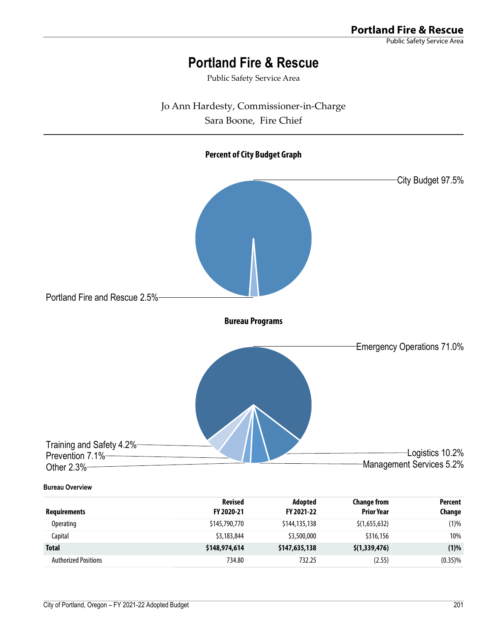Public Safety Service Area

Jo Ann Hardesty, Commissioner-in-Charge

Sara Boone, Fire Chief

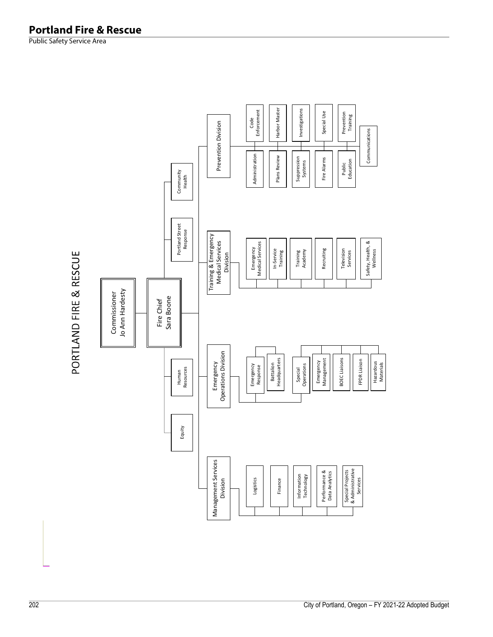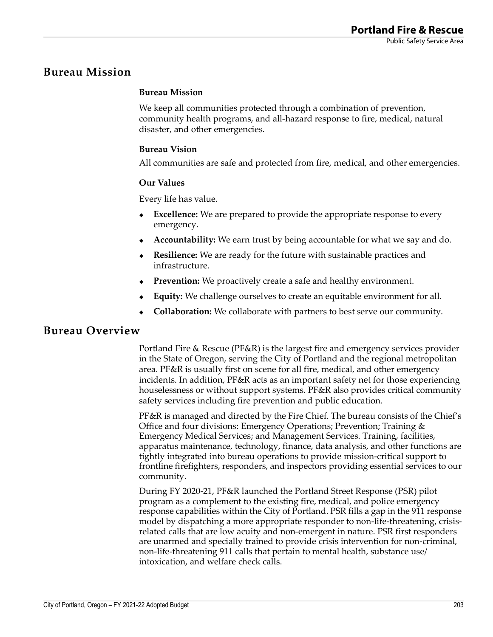## **Bureau Mission**

### **Bureau Mission**

We keep all communities protected through a combination of prevention, community health programs, and all-hazard response to fire, medical, natural disaster, and other emergencies.

### **Bureau Vision**

All communities are safe and protected from fire, medical, and other emergencies.

#### **Our Values**

Every life has value.

- **Excellence:** We are prepared to provide the appropriate response to every emergency.
- **Accountability:** We earn trust by being accountable for what we say and do.
- **Resilience:** We are ready for the future with sustainable practices and infrastructure.
- **Prevention:** We proactively create a safe and healthy environment.
- **Equity:** We challenge ourselves to create an equitable environment for all.
- **Collaboration:** We collaborate with partners to best serve our community.

## **Bureau Overview**

Portland Fire & Rescue (PF&R) is the largest fire and emergency services provider in the State of Oregon, serving the City of Portland and the regional metropolitan area. PF&R is usually first on scene for all fire, medical, and other emergency incidents. In addition, PF&R acts as an important safety net for those experiencing houselessness or without support systems. PF&R also provides critical community safety services including fire prevention and public education.

PF&R is managed and directed by the Fire Chief. The bureau consists of the Chief's Office and four divisions: Emergency Operations; Prevention; Training & Emergency Medical Services; and Management Services. Training, facilities, apparatus maintenance, technology, finance, data analysis, and other functions are tightly integrated into bureau operations to provide mission-critical support to frontline firefighters, responders, and inspectors providing essential services to our community.

During FY 2020-21, PF&R launched the Portland Street Response (PSR) pilot program as a complement to the existing fire, medical, and police emergency response capabilities within the City of Portland. PSR fills a gap in the 911 response model by dispatching a more appropriate responder to non-life-threatening, crisisrelated calls that are low acuity and non-emergent in nature. PSR first responders are unarmed and specially trained to provide crisis intervention for non-criminal, non-life-threatening 911 calls that pertain to mental health, substance use/ intoxication, and welfare check calls.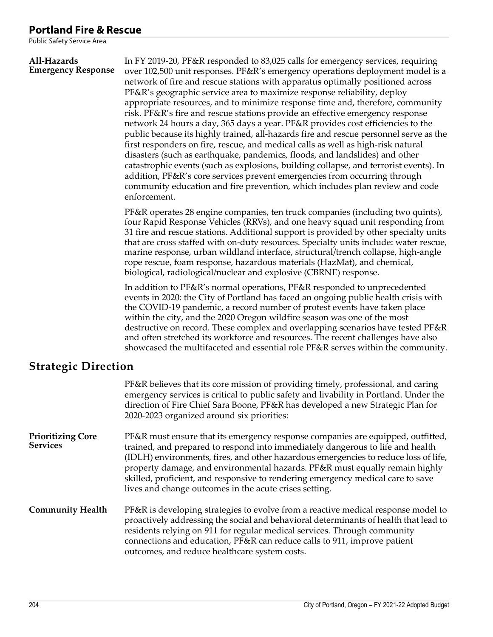#### **All-Hazards Emergency Response** In FY 2019-20, PF&R responded to 83,025 calls for emergency services, requiring over 102,500 unit responses. PF&R's emergency operations deployment model is a network of fire and rescue stations with apparatus optimally positioned across PF&R's geographic service area to maximize response reliability, deploy appropriate resources, and to minimize response time and, therefore, community risk. PF&R's fire and rescue stations provide an effective emergency response network 24 hours a day, 365 days a year. PF&R provides cost efficiencies to the public because its highly trained, all-hazards fire and rescue personnel serve as the first responders on fire, rescue, and medical calls as well as high-risk natural disasters (such as earthquake, pandemics, floods, and landslides) and other catastrophic events (such as explosions, building collapse, and terrorist events). In addition, PF&R's core services prevent emergencies from occurring through community education and fire prevention, which includes plan review and code enforcement.

PF&R operates 28 engine companies, ten truck companies (including two quints), four Rapid Response Vehicles (RRVs), and one heavy squad unit responding from 31 fire and rescue stations. Additional support is provided by other specialty units that are cross staffed with on-duty resources. Specialty units include: water rescue, marine response, urban wildland interface, structural/trench collapse, high-angle rope rescue, foam response, hazardous materials (HazMat), and chemical, biological, radiological/nuclear and explosive (CBRNE) response.

In addition to PF&R's normal operations, PF&R responded to unprecedented events in 2020: the City of Portland has faced an ongoing public health crisis with the COVID-19 pandemic, a record number of protest events have taken place within the city, and the 2020 Oregon wildfire season was one of the most destructive on record. These complex and overlapping scenarios have tested PF&R and often stretched its workforce and resources. The recent challenges have also showcased the multifaceted and essential role PF&R serves within the community.

## **Strategic Direction**

|                                             | PF&R believes that its core mission of providing timely, professional, and caring<br>emergency services is critical to public safety and livability in Portland. Under the<br>direction of Fire Chief Sara Boone, PF&R has developed a new Strategic Plan for<br>2020-2023 organized around six priorities:                                                                                                                                                                          |
|---------------------------------------------|--------------------------------------------------------------------------------------------------------------------------------------------------------------------------------------------------------------------------------------------------------------------------------------------------------------------------------------------------------------------------------------------------------------------------------------------------------------------------------------|
| <b>Prioritizing Core</b><br><b>Services</b> | PF&R must ensure that its emergency response companies are equipped, outfitted,<br>trained, and prepared to respond into immediately dangerous to life and health<br>(IDLH) environments, fires, and other hazardous emergencies to reduce loss of life,<br>property damage, and environmental hazards. PF&R must equally remain highly<br>skilled, proficient, and responsive to rendering emergency medical care to save<br>lives and change outcomes in the acute crises setting. |
| <b>Community Health</b>                     | PF&R is developing strategies to evolve from a reactive medical response model to<br>proactively addressing the social and behavioral determinants of health that lead to<br>residents relying on 911 for regular medical services. Through community<br>connections and education, PF&R can reduce calls to 911, improve patient<br>outcomes, and reduce healthcare system costs.                                                                                                   |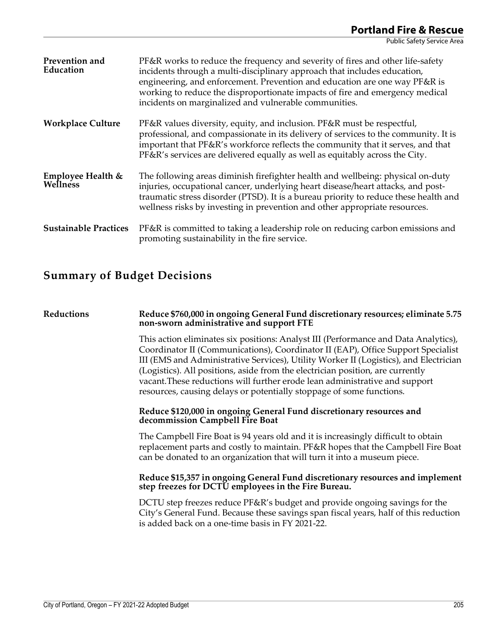| Prevention and<br>Education   | PF&R works to reduce the frequency and severity of fires and other life-safety<br>incidents through a multi-disciplinary approach that includes education,<br>engineering, and enforcement. Prevention and education are one way PF&R is<br>working to reduce the disproportionate impacts of fire and emergency medical<br>incidents on marginalized and vulnerable communities. |
|-------------------------------|-----------------------------------------------------------------------------------------------------------------------------------------------------------------------------------------------------------------------------------------------------------------------------------------------------------------------------------------------------------------------------------|
| <b>Workplace Culture</b>      | PF&R values diversity, equity, and inclusion. PF&R must be respectful,<br>professional, and compassionate in its delivery of services to the community. It is<br>important that PF&R's workforce reflects the community that it serves, and that<br>PF&R's services are delivered equally as well as equitably across the City.                                                   |
| Employee Health &<br>Wellness | The following areas diminish firefighter health and wellbeing: physical on-duty<br>injuries, occupational cancer, underlying heart disease/heart attacks, and post-<br>traumatic stress disorder (PTSD). It is a bureau priority to reduce these health and<br>wellness risks by investing in prevention and other appropriate resources.                                         |
| <b>Sustainable Practices</b>  | PF&R is committed to taking a leadership role on reducing carbon emissions and<br>promoting sustainability in the fire service.                                                                                                                                                                                                                                                   |

## **Summary of Budget Decisions**

#### **Reductions Reduce \$760,000 in ongoing General Fund discretionary resources; eliminate 5.75 non-sworn administrative and support FTE**

This action eliminates six positions: Analyst III (Performance and Data Analytics), Coordinator II (Communications), Coordinator II (EAP), Office Support Specialist III (EMS and Administrative Services), Utility Worker II (Logistics), and Electrician (Logistics). All positions, aside from the electrician position, are currently vacant.These reductions will further erode lean administrative and support resources, causing delays or potentially stoppage of some functions.

#### **Reduce \$120,000 in ongoing General Fund discretionary resources and decommission Campbell Fire Boat**

The Campbell Fire Boat is 94 years old and it is increasingly difficult to obtain replacement parts and costly to maintain. PF&R hopes that the Campbell Fire Boat can be donated to an organization that will turn it into a museum piece.

#### **Reduce \$15,357 in ongoing General Fund discretionary resources and implement step freezes for DCTU employees in the Fire Bureau.**

DCTU step freezes reduce PF&R's budget and provide ongoing savings for the City's General Fund. Because these savings span fiscal years, half of this reduction is added back on a one-time basis in FY 2021-22.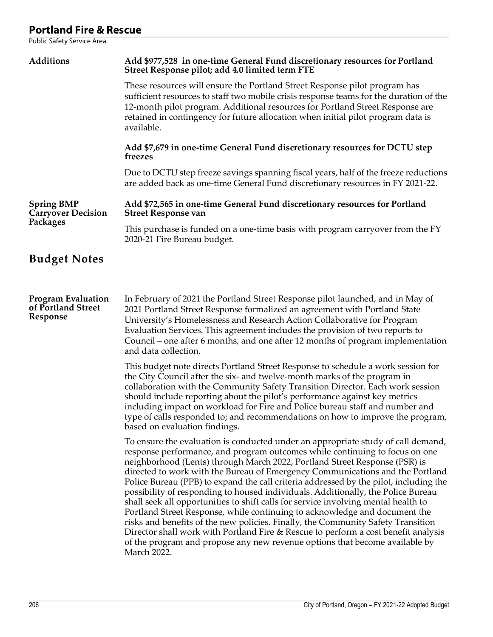| Additions                                                   | Add \$977,528 in one-time General Fund discretionary resources for Portland<br>Street Response pilot; add 4.0 limited term FTE                                                                                                                                                                                                                                                                                                                                                                                                                                                                                                                                                                                                                                                                                                                                                                                                                          |  |  |  |  |  |  |
|-------------------------------------------------------------|---------------------------------------------------------------------------------------------------------------------------------------------------------------------------------------------------------------------------------------------------------------------------------------------------------------------------------------------------------------------------------------------------------------------------------------------------------------------------------------------------------------------------------------------------------------------------------------------------------------------------------------------------------------------------------------------------------------------------------------------------------------------------------------------------------------------------------------------------------------------------------------------------------------------------------------------------------|--|--|--|--|--|--|
|                                                             | These resources will ensure the Portland Street Response pilot program has<br>sufficient resources to staff two mobile crisis response teams for the duration of the<br>12-month pilot program. Additional resources for Portland Street Response are<br>retained in contingency for future allocation when initial pilot program data is<br>available.                                                                                                                                                                                                                                                                                                                                                                                                                                                                                                                                                                                                 |  |  |  |  |  |  |
|                                                             | Add \$7,679 in one-time General Fund discretionary resources for DCTU step<br>treezes                                                                                                                                                                                                                                                                                                                                                                                                                                                                                                                                                                                                                                                                                                                                                                                                                                                                   |  |  |  |  |  |  |
|                                                             | Due to DCTU step freeze savings spanning fiscal years, half of the freeze reductions<br>are added back as one-time General Fund discretionary resources in FY 2021-22.                                                                                                                                                                                                                                                                                                                                                                                                                                                                                                                                                                                                                                                                                                                                                                                  |  |  |  |  |  |  |
| <b>Spring BMP</b><br><b>Carryover Decision</b>              | Add \$72,565 in one-time General Fund discretionary resources for Portland<br><b>Street Response van</b>                                                                                                                                                                                                                                                                                                                                                                                                                                                                                                                                                                                                                                                                                                                                                                                                                                                |  |  |  |  |  |  |
| Packages                                                    | This purchase is funded on a one-time basis with program carryover from the FY<br>2020-21 Fire Bureau budget.                                                                                                                                                                                                                                                                                                                                                                                                                                                                                                                                                                                                                                                                                                                                                                                                                                           |  |  |  |  |  |  |
| <b>Budget Notes</b>                                         |                                                                                                                                                                                                                                                                                                                                                                                                                                                                                                                                                                                                                                                                                                                                                                                                                                                                                                                                                         |  |  |  |  |  |  |
|                                                             |                                                                                                                                                                                                                                                                                                                                                                                                                                                                                                                                                                                                                                                                                                                                                                                                                                                                                                                                                         |  |  |  |  |  |  |
| <b>Program Evaluation</b><br>of Portland Street<br>Response | In February of 2021 the Portland Street Response pilot launched, and in May of<br>2021 Portland Street Response formalized an agreement with Portland State<br>University's Homelessness and Research Action Collaborative for Program<br>Evaluation Services. This agreement includes the provision of two reports to<br>Council – one after 6 months, and one after 12 months of program implementation<br>and data collection.                                                                                                                                                                                                                                                                                                                                                                                                                                                                                                                       |  |  |  |  |  |  |
|                                                             | This budget note directs Portland Street Response to schedule a work session for<br>the City Council after the six- and twelve-month marks of the program in<br>collaboration with the Community Safety Transition Director. Each work session<br>should include reporting about the pilot's performance against key metrics<br>including impact on workload for Fire and Police bureau staff and number and<br>type of calls responded to; and recommendations on how to improve the program,<br>based on evaluation findings.                                                                                                                                                                                                                                                                                                                                                                                                                         |  |  |  |  |  |  |
|                                                             | To ensure the evaluation is conducted under an appropriate study of call demand,<br>response performance, and program outcomes while continuing to focus on one<br>neighborhood (Lents) through March 2022, Portland Street Response (PSR) is<br>directed to work with the Bureau of Emergency Communications and the Portland<br>Police Bureau (PPB) to expand the call criteria addressed by the pilot, including the<br>possibility of responding to housed individuals. Additionally, the Police Bureau<br>shall seek all opportunities to shift calls for service involving mental health to<br>Portland Street Response, while continuing to acknowledge and document the<br>risks and benefits of the new policies. Finally, the Community Safety Transition<br>Director shall work with Portland Fire & Rescue to perform a cost benefit analysis<br>of the program and propose any new revenue options that become available by<br>March 2022. |  |  |  |  |  |  |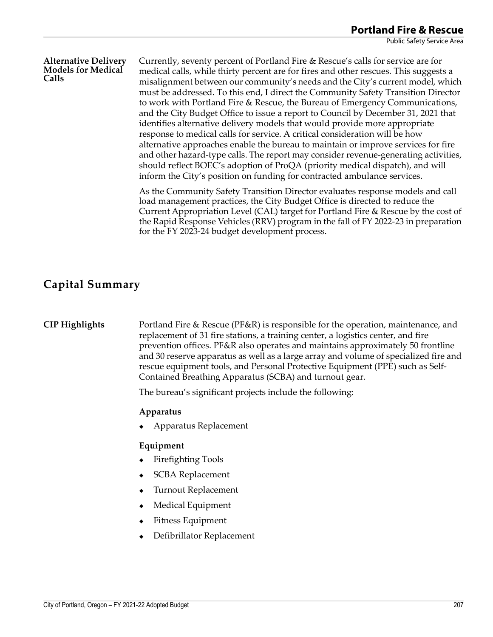#### **Alternative Delivery Models for Medical Calls**

Currently, seventy percent of Portland Fire & Rescue's calls for service are for medical calls, while thirty percent are for fires and other rescues. This suggests a misalignment between our community's needs and the City's current model, which must be addressed. To this end, I direct the Community Safety Transition Director to work with Portland Fire & Rescue, the Bureau of Emergency Communications, and the City Budget Office to issue a report to Council by December 31, 2021 that identifies alternative delivery models that would provide more appropriate response to medical calls for service. A critical consideration will be how alternative approaches enable the bureau to maintain or improve services for fire and other hazard-type calls. The report may consider revenue-generating activities, should reflect BOEC's adoption of ProQA (priority medical dispatch), and will inform the City's position on funding for contracted ambulance services.

As the Community Safety Transition Director evaluates response models and call load management practices, the City Budget Office is directed to reduce the Current Appropriation Level (CAL) target for Portland Fire & Rescue by the cost of the Rapid Response Vehicles (RRV) program in the fall of FY 2022-23 in preparation for the FY 2023-24 budget development process.

## **Capital Summary**

**CIP Highlights** Portland Fire & Rescue (PF&R) is responsible for the operation, maintenance, and replacement of 31 fire stations, a training center, a logistics center, and fire prevention offices. PF&R also operates and maintains approximately 50 frontline and 30 reserve apparatus as well as a large array and volume of specialized fire and rescue equipment tools, and Personal Protective Equipment (PPE) such as Self-Contained Breathing Apparatus (SCBA) and turnout gear.

The bureau's significant projects include the following:

#### **Apparatus**

Apparatus Replacement

#### **Equipment**

- ◆ Firefighting Tools
- SCBA Replacement
- Turnout Replacement
- Medical Equipment
- Fitness Equipment
- Defibrillator Replacement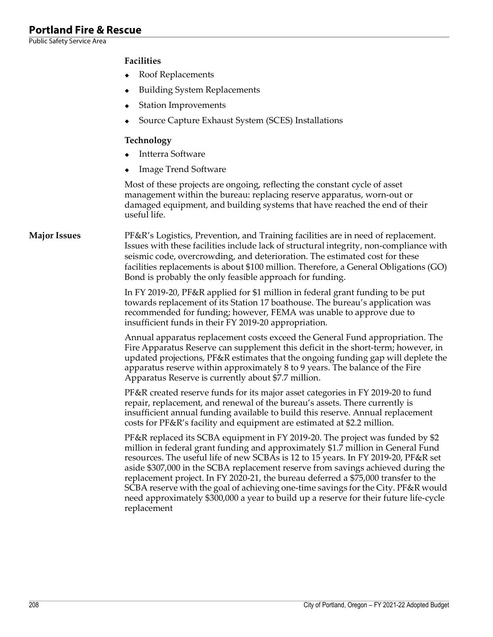Public Safety Service Area

### **Facilities**

- Roof Replacements
- Building System Replacements
- Station Improvements
- Source Capture Exhaust System (SCES) Installations

#### **Technology**

- Intterra Software
- Image Trend Software

Most of these projects are ongoing, reflecting the constant cycle of asset management within the bureau: replacing reserve apparatus, worn-out or damaged equipment, and building systems that have reached the end of their useful life.

**Major Issues** PF&R's Logistics, Prevention, and Training facilities are in need of replacement. Issues with these facilities include lack of structural integrity, non-compliance with seismic code, overcrowding, and deterioration. The estimated cost for these facilities replacements is about \$100 million. Therefore, a General Obligations (GO) Bond is probably the only feasible approach for funding.

> In FY 2019-20, PF&R applied for \$1 million in federal grant funding to be put towards replacement of its Station 17 boathouse. The bureau's application was recommended for funding; however, FEMA was unable to approve due to insufficient funds in their FY 2019-20 appropriation.

Annual apparatus replacement costs exceed the General Fund appropriation. The Fire Apparatus Reserve can supplement this deficit in the short-term; however, in updated projections, PF&R estimates that the ongoing funding gap will deplete the apparatus reserve within approximately 8 to 9 years. The balance of the Fire Apparatus Reserve is currently about \$7.7 million.

PF&R created reserve funds for its major asset categories in FY 2019-20 to fund repair, replacement, and renewal of the bureau's assets. There currently is insufficient annual funding available to build this reserve. Annual replacement costs for PF&R's facility and equipment are estimated at \$2.2 million.

PF&R replaced its SCBA equipment in FY 2019-20. The project was funded by \$2 million in federal grant funding and approximately \$1.7 million in General Fund resources. The useful life of new SCBAs is 12 to 15 years. In FY 2019-20, PF&R set aside \$307,000 in the SCBA replacement reserve from savings achieved during the replacement project. In FY 2020-21, the bureau deferred a \$75,000 transfer to the SCBA reserve with the goal of achieving one-time savings for the City. PF&R would need approximately \$300,000 a year to build up a reserve for their future life-cycle replacement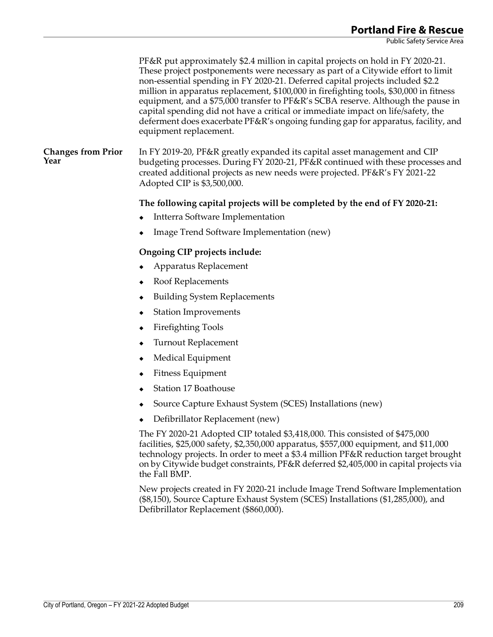PF&R put approximately \$2.4 million in capital projects on hold in FY 2020-21. These project postponements were necessary as part of a Citywide effort to limit non-essential spending in FY 2020-21. Deferred capital projects included \$2.2 million in apparatus replacement, \$100,000 in firefighting tools, \$30,000 in fitness equipment, and a \$75,000 transfer to PF&R's SCBA reserve. Although the pause in capital spending did not have a critical or immediate impact on life/safety, the deferment does exacerbate PF&R's ongoing funding gap for apparatus, facility, and equipment replacement. **Changes from Prior Year** In FY 2019-20, PF&R greatly expanded its capital asset management and CIP budgeting processes. During FY 2020-21, PF&R continued with these processes and created additional projects as new needs were projected. PF&R's FY 2021-22 Adopted CIP is \$3,500,000.

#### **The following capital projects will be completed by the end of FY 2020-21:**

- Intterra Software Implementation
- Image Trend Software Implementation (new)

### **Ongoing CIP projects include:**

- Apparatus Replacement
- Roof Replacements
- Building System Replacements
- Station Improvements
- Firefighting Tools
- Turnout Replacement
- Medical Equipment
- Fitness Equipment
- Station 17 Boathouse
- Source Capture Exhaust System (SCES) Installations (new)
- Defibrillator Replacement (new)

The FY 2020-21 Adopted CIP totaled \$3,418,000. This consisted of \$475,000 facilities, \$25,000 safety, \$2,350,000 apparatus, \$557,000 equipment, and \$11,000 technology projects. In order to meet a \$3.4 million PF&R reduction target brought on by Citywide budget constraints, PF&R deferred \$2,405,000 in capital projects via the Fall BMP.

New projects created in FY 2020-21 include Image Trend Software Implementation (\$8,150), Source Capture Exhaust System (SCES) Installations (\$1,285,000), and Defibrillator Replacement (\$860,000).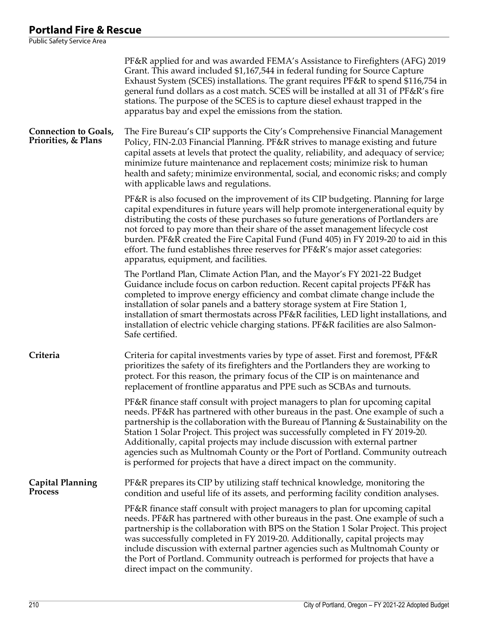|                                                    | PF&R applied for and was awarded FEMA's Assistance to Firefighters (AFG) 2019<br>Grant. This award included \$1,167,544 in federal funding for Source Capture<br>Exhaust System (SCES) installations. The grant requires PF&R to spend \$116,754 in<br>general fund dollars as a cost match. SCES will be installed at all 31 of PF&R's fire<br>stations. The purpose of the SCES is to capture diesel exhaust trapped in the<br>apparatus bay and expel the emissions from the station.                                                                                             |
|----------------------------------------------------|--------------------------------------------------------------------------------------------------------------------------------------------------------------------------------------------------------------------------------------------------------------------------------------------------------------------------------------------------------------------------------------------------------------------------------------------------------------------------------------------------------------------------------------------------------------------------------------|
| <b>Connection to Goals,</b><br>Priorities, & Plans | The Fire Bureau's CIP supports the City's Comprehensive Financial Management<br>Policy, FIN-2.03 Financial Planning. PF&R strives to manage existing and future<br>capital assets at levels that protect the quality, reliability, and adequacy of service;<br>minimize future maintenance and replacement costs; minimize risk to human<br>health and safety; minimize environmental, social, and economic risks; and comply<br>with applicable laws and regulations.                                                                                                               |
|                                                    | PF&R is also focused on the improvement of its CIP budgeting. Planning for large<br>capital expenditures in future years will help promote intergenerational equity by<br>distributing the costs of these purchases so future generations of Portlanders are<br>not forced to pay more than their share of the asset management lifecycle cost<br>burden. PF&R created the Fire Capital Fund (Fund 405) in FY 2019-20 to aid in this<br>effort. The fund establishes three reserves for PF&R's major asset categories:<br>apparatus, equipment, and facilities.                      |
|                                                    | The Portland Plan, Climate Action Plan, and the Mayor's FY 2021-22 Budget<br>Guidance include focus on carbon reduction. Recent capital projects PF&R has<br>completed to improve energy efficiency and combat climate change include the<br>installation of solar panels and a battery storage system at Fire Station 1,<br>installation of smart thermostats across PF&R facilities, LED light installations, and<br>installation of electric vehicle charging stations. PF&R facilities are also Salmon-<br>Safe certified.                                                       |
| Criteria                                           | Criteria for capital investments varies by type of asset. First and foremost, PF&R<br>prioritizes the safety of its firefighters and the Portlanders they are working to<br>protect. For this reason, the primary focus of the CIP is on maintenance and<br>replacement of frontline apparatus and PPE such as SCBAs and turnouts.                                                                                                                                                                                                                                                   |
|                                                    | PF&R finance staff consult with project managers to plan for upcoming capital<br>needs. PF&R has partnered with other bureaus in the past. One example of such a<br>partnership is the collaboration with the Bureau of Planning & Sustainability on the<br>Station 1 Solar Project. This project was successfully completed in FY 2019-20.<br>Additionally, capital projects may include discussion with external partner<br>agencies such as Multnomah County or the Port of Portland. Community outreach<br>is performed for projects that have a direct impact on the community. |
| <b>Capital Planning</b><br>Process                 | PF&R prepares its CIP by utilizing staff technical knowledge, monitoring the<br>condition and useful life of its assets, and performing facility condition analyses.                                                                                                                                                                                                                                                                                                                                                                                                                 |
|                                                    | PF&R finance staff consult with project managers to plan for upcoming capital<br>needs. PF&R has partnered with other bureaus in the past. One example of such a<br>partnership is the collaboration with BPS on the Station 1 Solar Project. This project<br>was successfully completed in FY 2019-20. Additionally, capital projects may<br>include discussion with external partner agencies such as Multnomah County or<br>the Port of Portland. Community outreach is performed for projects that have a<br>direct impact on the community.                                     |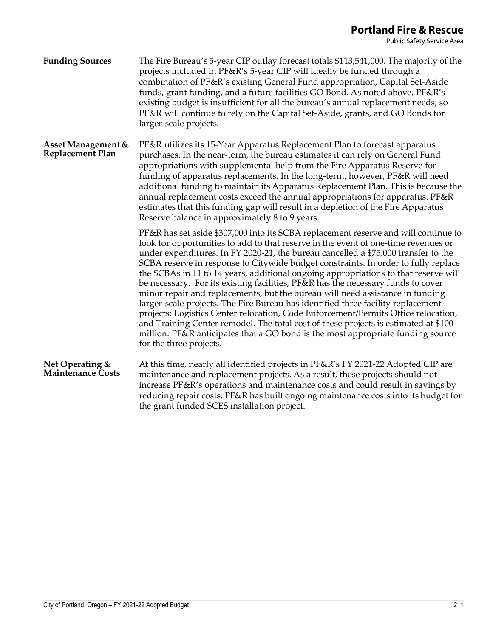**Funding Sources** The Fire Bureau's 5-year CIP outlay forecast totals \$113,541,000. The majority of the projects included in PF&R's 5-year CIP will ideally be funded through a combination of PF&R's existing General Fund appropriation, Capital Set-Aside funds, grant funding, and a future facilities GO Bond. As noted above, PF&R's existing budget is insufficient for all the bureau's annual replacement needs, so PF&R will continue to rely on the Capital Set-Aside, grants, and GO Bonds for larger-scale projects.

**Asset Management & Replacement Plan** PF&R utilizes its 15-Year Apparatus Replacement Plan to forecast apparatus purchases. In the near-term, the bureau estimates it can rely on General Fund appropriations with supplemental help from the Fire Apparatus Reserve for funding of apparatus replacements. In the long-term, however, PF&R will need additional funding to maintain its Apparatus Replacement Plan. This is because the annual replacement costs exceed the annual appropriations for apparatus. PF&R estimates that this funding gap will result in a depletion of the Fire Apparatus Reserve balance in approximately 8 to 9 years.

> PF&R has set aside \$307,000 into its SCBA replacement reserve and will continue to look for opportunities to add to that reserve in the event of one-time revenues or under expenditures. In FY 2020-21, the bureau cancelled a \$75,000 transfer to the SCBA reserve in response to Citywide budget constraints. In order to fully replace the SCBAs in 11 to 14 years, additional ongoing appropriations to that reserve will be necessary. For its existing facilities, PF&R has the necessary funds to cover minor repair and replacements, but the bureau will need assistance in funding larger-scale projects. The Fire Bureau has identified three facility replacement projects: Logistics Center relocation, Code Enforcement/Permits Office relocation, and Training Center remodel. The total cost of these projects is estimated at \$100 million. PF&R anticipates that a GO bond is the most appropriate funding source for the three projects.

#### **Net Operating & Maintenance Costs** At this time, nearly all identified projects in PF&R's FY 2021-22 Adopted CIP are maintenance and replacement projects. As a result, these projects should not increase PF&R's operations and maintenance costs and could result in savings by reducing repair costs. PF&R has built ongoing maintenance costs into its budget for the grant funded SCES installation project.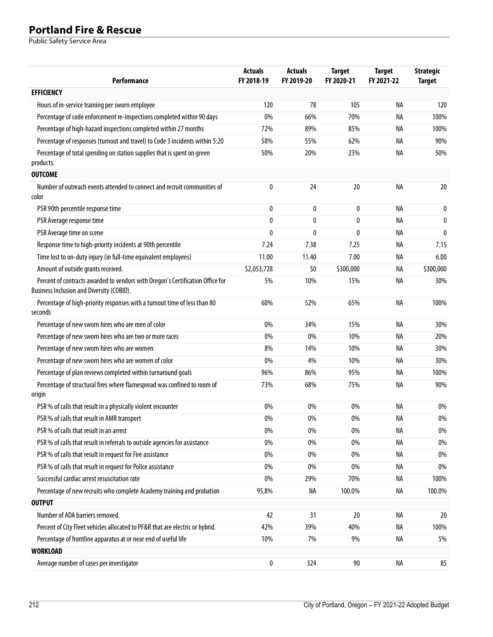| Performance                                                                                                                 | <b>Actuals</b><br>FY 2018-19 | <b>Actuals</b><br>FY 2019-20 | <b>Target</b><br>FY 2020-21 | <b>Target</b><br>FY 2021-22 | <b>Strategic</b><br><b>Target</b> |
|-----------------------------------------------------------------------------------------------------------------------------|------------------------------|------------------------------|-----------------------------|-----------------------------|-----------------------------------|
| <b>EFFICIENCY</b>                                                                                                           |                              |                              |                             |                             |                                   |
| Hours of in-service training per sworn employee                                                                             | 120                          | 78                           | 105                         | NA                          | 120                               |
| Percentage of code enforcement re-inspections completed within 90 days                                                      | 0%                           | 66%                          | 70%                         | NA                          | 100%                              |
| Percentage of high-hazard inspections completed within 27 months                                                            | 72%                          | 89%                          | 85%                         | NA                          | 100%                              |
| Percentage of responses (turnout and travel) to Code 3 incidents within 5:20                                                | 58%                          | 55%                          | 62%                         | NA                          | 90%                               |
| Percentage of total spending on station supplies that is spent on green<br>products.                                        | 50%                          | 20%                          | 23%                         | NA                          | 50%                               |
| <b>OUTCOME</b>                                                                                                              |                              |                              |                             |                             |                                   |
| Number of outreach events attended to connect and recruit communities of<br>color                                           | 0                            | 24                           | 20                          | <b>NA</b>                   | 20                                |
| PSR 90th percentile response time                                                                                           | 0                            | 0                            | 0                           | NA                          | 0                                 |
| PSR Average response time                                                                                                   | 0                            | 0                            | $\mathbf{0}$                | NA                          | $\mathbf{0}$                      |
| PSR Average time on scene                                                                                                   | 0                            | 0                            | $\mathbf{0}$                | NA                          | $\mathbf{0}$                      |
| Response time to high-priority incidents at 90th percentile                                                                 | 7.24                         | 7.38                         | 7.25                        | NA                          | 7.15                              |
| Time lost to on-duty injury (in full-time equivalent employees)                                                             | 11.00                        | 11.40                        | 7.00                        | NA                          | 6.00                              |
| Amount of outside grants received.                                                                                          | \$2,053,728                  | \$0                          | \$300,000                   | NA                          | \$300,000                         |
| Percent of contracts awarded to vendors with Oregon's Certification Office for<br>Business Inclusion and Diversity (COBID). | 5%                           | 10%                          | 15%                         | NA                          | 30%                               |
| Percentage of high-priority responses with a turnout time of less than 80<br>seconds                                        | 60%                          | 52%                          | 65%                         | <b>NA</b>                   | 100%                              |
| Percentage of new sworn hires who are men of color                                                                          | 0%                           | 34%                          | 15%                         | NA                          | 30%                               |
| Percentage of new sworn hires who are two or more races                                                                     | 0%                           | 0%                           | 10%                         | NA                          | 20%                               |
| Percentage of new sworn hires who are women                                                                                 | 8%                           | 14%                          | 10%                         | NA                          | 30%                               |
| Percentage of new sworn hires who are women of color                                                                        | 0%                           | 4%                           | 10%                         | NA                          | 30%                               |
| Percentage of plan reviews completed within turnaround goals                                                                | 96%                          | 86%                          | 95%                         | NA                          | 100%                              |
| Percentage of structural fires where flamespread was confined to room of<br>origin                                          | 73%                          | 68%                          | 75%                         | NA                          | 90%                               |
| PSR % of calls that result in a physically violent encounter                                                                | 0%                           | 0%                           | 0%                          | NA                          | 0%                                |
| PSR % of calls that result in AMR transport                                                                                 | 0%                           | 0%                           | 0%                          | NA                          | $0\%$                             |
| PSR % of calls that result in an arrest                                                                                     | 0%                           | 0%                           | 0%                          | NA                          | 0%                                |
| PSR % of calls that result in referrals to outside agencies for assistance                                                  | 0%                           | 0%                           | 0%                          | NA                          | 0%                                |
| PSR % of calls that result in request for Fire assistance                                                                   | $0\%$                        | 0%                           | 0%                          | NA                          | 0%                                |
| PSR % of calls that result in request for Police assistance                                                                 | 0%                           | 0%                           | 0%                          | NA                          | 0%                                |
| Successful cardiac arrest resuscitation rate                                                                                | $0\%$                        | 29%                          | 70%                         | ΝA                          | 100%                              |
| Percentage of new recruits who complete Academy training and probation                                                      | 95.8%                        | NA                           | 100.0%                      | NA                          | 100.0%                            |
| <b>OUTPUT</b>                                                                                                               |                              |                              |                             |                             |                                   |
| Number of ADA barriers removed.                                                                                             | 42                           | 31                           | 20                          | NA                          | 20                                |
| Percent of City Fleet vehicles allocated to PF&R that are electric or hybrid.                                               | 42%                          | 39%                          | 40%                         | ΝA                          | 100%                              |
| Percentage of frontline apparatus at or near end of useful life                                                             | 10%                          | 7%                           | 9%                          | NA                          | 5%                                |
| <b>WORKLOAD</b>                                                                                                             |                              |                              |                             |                             |                                   |
| Average number of cases per investigator                                                                                    | 0                            | 324                          | 90                          | NA                          | 85                                |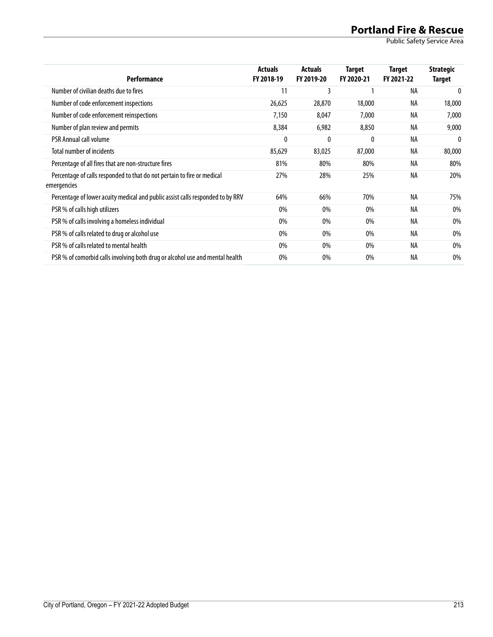| <b>Performance</b>                                                                     | <b>Actuals</b><br>FY 2018-19 | <b>Actuals</b><br>FY 2019-20 | Target<br>FY 2020-21 | Target<br>FY 2021-22 | <b>Strategic</b><br>Target |
|----------------------------------------------------------------------------------------|------------------------------|------------------------------|----------------------|----------------------|----------------------------|
| Number of civilian deaths due to fires                                                 | 11                           | 3                            |                      | NA                   | $\Omega$                   |
| Number of code enforcement inspections                                                 | 26,625                       | 28,870                       | 18,000               | NA                   | 18,000                     |
| Number of code enforcement reinspections                                               | 7,150                        | 8,047                        | 7,000                | NA                   | 7,000                      |
| Number of plan review and permits                                                      | 8,384                        | 6,982                        | 8,850                | NA                   | 9,000                      |
| <b>PSR Annual call volume</b>                                                          | 0                            | 0                            | $\mathbf{0}$         | NA                   | 0                          |
| Total number of incidents                                                              | 85,629                       | 83,025                       | 87,000               | NA                   | 80,000                     |
| Percentage of all fires that are non-structure fires                                   | 81%                          | 80%                          | 80%                  | NA                   | 80%                        |
| Percentage of calls responded to that do not pertain to fire or medical<br>emergencies | 27%                          | 28%                          | 25%                  | NA                   | 20%                        |
| Percentage of lower acuity medical and public assist calls responded to by RRV         | 64%                          | 66%                          | 70%                  | <b>NA</b>            | 75%                        |
| PSR % of calls high utilizers                                                          | 0%                           | 0%                           | 0%                   | NA                   | 0%                         |
| PSR % of calls involving a homeless individual                                         | 0%                           | 0%                           | 0%                   | NA                   | 0%                         |
| PSR % of calls related to drug or alcohol use                                          | 0%                           | 0%                           | 0%                   | <b>NA</b>            | 0%                         |
| PSR % of calls related to mental health                                                | 0%                           | 0%                           | 0%                   | <b>NA</b>            | 0%                         |
| PSR % of comorbid calls involving both drug or alcohol use and mental health           | 0%                           | 0%                           | 0%                   | NA                   | 0%                         |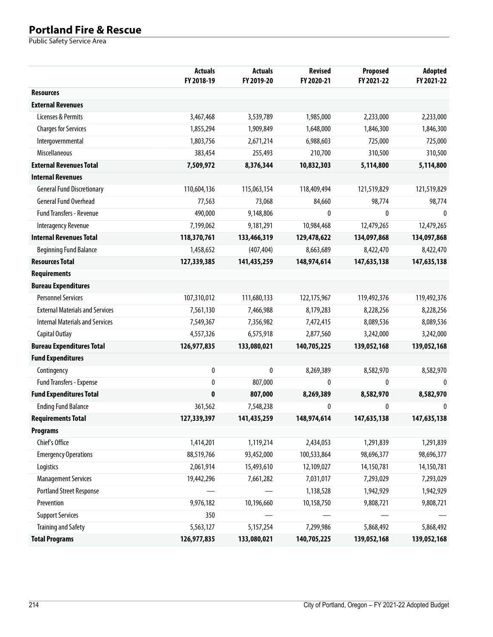|                                        | <b>Actuals</b><br>FY 2018-19 | <b>Actuals</b><br>FY 2019-20 | <b>Revised</b><br>FY 2020-21 | Proposed<br>FY 2021-22 | <b>Adopted</b><br>FY 2021-22 |
|----------------------------------------|------------------------------|------------------------------|------------------------------|------------------------|------------------------------|
| <b>Resources</b>                       |                              |                              |                              |                        |                              |
| <b>External Revenues</b>               |                              |                              |                              |                        |                              |
| Licenses & Permits                     | 3,467,468                    | 3,539,789                    | 1,985,000                    | 2,233,000              | 2,233,000                    |
| <b>Charges for Services</b>            | 1,855,294                    | 1,909,849                    | 1,648,000                    | 1,846,300              | 1,846,300                    |
| Intergovernmental                      | 1,803,756                    | 2,671,214                    | 6,988,603                    | 725,000                | 725,000                      |
| Miscellaneous                          | 383,454                      | 255,493                      | 210,700                      | 310,500                | 310,500                      |
| <b>External Revenues Total</b>         | 7,509,972                    | 8,376,344                    | 10,832,303                   | 5,114,800              | 5,114,800                    |
| <b>Internal Revenues</b>               |                              |                              |                              |                        |                              |
| <b>General Fund Discretionary</b>      | 110,604,136                  | 115,063,154                  | 118,409,494                  | 121,519,829            | 121,519,829                  |
| <b>General Fund Overhead</b>           | 77,563                       | 73,068                       | 84,660                       | 98,774                 | 98,774                       |
| <b>Fund Transfers - Revenue</b>        | 490,000                      | 9,148,806                    | 0                            | 0                      | $\Omega$                     |
| <b>Interagency Revenue</b>             | 7,199,062                    | 9,181,291                    | 10,984,468                   | 12,479,265             | 12,479,265                   |
| <b>Internal Revenues Total</b>         | 118,370,761                  | 133,466,319                  | 129,478,622                  | 134,097,868            | 134,097,868                  |
| <b>Beginning Fund Balance</b>          | 1,458,652                    | (407, 404)                   | 8,663,689                    | 8,422,470              | 8,422,470                    |
| <b>Resources Total</b>                 | 127,339,385                  | 141,435,259                  | 148,974,614                  | 147,635,138            | 147,635,138                  |
| <b>Requirements</b>                    |                              |                              |                              |                        |                              |
| <b>Bureau Expenditures</b>             |                              |                              |                              |                        |                              |
| <b>Personnel Services</b>              | 107,310,012                  | 111,680,133                  | 122,175,967                  | 119,492,376            | 119,492,376                  |
| <b>External Materials and Services</b> | 7,561,130                    | 7,466,988                    | 8,179,283                    | 8,228,256              | 8,228,256                    |
| <b>Internal Materials and Services</b> | 7,549,367                    | 7,356,982                    | 7,472,415                    | 8,089,536              | 8,089,536                    |
| Capital Outlay                         | 4,557,326                    | 6,575,918                    | 2,877,560                    | 3,242,000              | 3,242,000                    |
| <b>Bureau Expenditures Total</b>       | 126,977,835                  | 133,080,021                  | 140,705,225                  | 139,052,168            | 139,052,168                  |
| <b>Fund Expenditures</b>               |                              |                              |                              |                        |                              |
| Contingency                            | 0                            | 0                            | 8,269,389                    | 8,582,970              | 8,582,970                    |
| Fund Transfers - Expense               | 0                            | 807,000                      | 0                            | $\mathbf{0}$           | $\mathbf{0}$                 |
| <b>Fund Expenditures Total</b>         | $\mathbf{0}$                 | 807,000                      | 8,269,389                    | 8,582,970              | 8,582,970                    |
| <b>Ending Fund Balance</b>             | 361,562                      | 7,548,238                    | 0                            | $\mathbf{0}$           | $\Omega$                     |
| <b>Requirements Total</b>              | 127,339,397                  | 141,435,259                  | 148,974,614                  | 147,635,138            | 147,635,138                  |
| <b>Programs</b>                        |                              |                              |                              |                        |                              |
| Chief's Office                         | 1,414,201                    | 1,119,214                    | 2,434,053                    | 1,291,839              | 1,291,839                    |
| <b>Emergency Operations</b>            | 88,519,766                   | 93,452,000                   | 100,533,864                  | 98,696,377             | 98,696,377                   |
| Logistics                              | 2,061,914                    | 15,493,610                   | 12,109,027                   | 14,150,781             | 14,150,781                   |
| <b>Management Services</b>             | 19,442,296                   | 7,661,282                    | 7,031,017                    | 7,293,029              | 7,293,029                    |
| <b>Portland Street Response</b>        |                              |                              | 1,138,528                    | 1,942,929              | 1,942,929                    |
| Prevention                             | 9,976,182                    | 10,196,660                   | 10,158,750                   | 9,808,721              | 9,808,721                    |
| <b>Support Services</b>                | 350                          |                              |                              |                        |                              |
| <b>Training and Safety</b>             | 5,563,127                    | 5, 157, 254                  | 7,299,986                    | 5,868,492              | 5,868,492                    |
| <b>Total Programs</b>                  | 126,977,835                  | 133,080,021                  | 140,705,225                  | 139,052,168            | 139,052,168                  |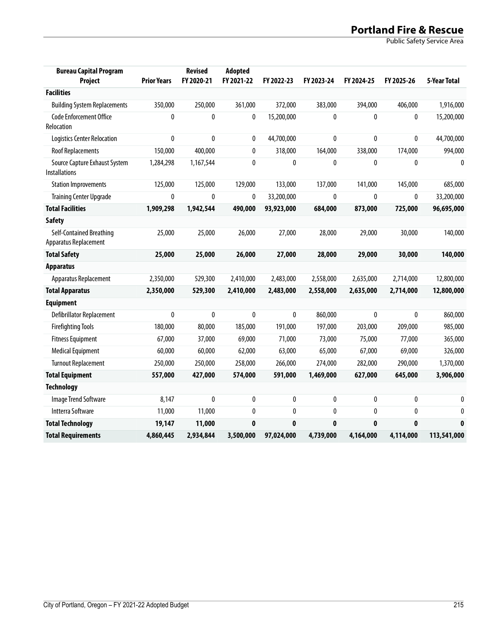| <b>Bureau Capital Program</b><br>Project              | <b>Prior Years</b> | <b>Revised</b><br>FY 2020-21 | Adopted<br>FY 2021-22 | FY 2022-23   | FY 2023-24   | FY 2024-25   | FY 2025-26 | 5-Year Total |
|-------------------------------------------------------|--------------------|------------------------------|-----------------------|--------------|--------------|--------------|------------|--------------|
| <b>Facilities</b>                                     |                    |                              |                       |              |              |              |            |              |
| <b>Building System Replacements</b>                   | 350,000            | 250,000                      | 361,000               | 372,000      | 383,000      | 394,000      | 406,000    | 1,916,000    |
| <b>Code Enforcement Office</b><br>Relocation          | 0                  | 0                            | 0                     | 15,200,000   | 0            | $\mathbf{0}$ | 0          | 15,200,000   |
| Logistics Center Relocation                           | 0                  | 0                            | 0                     | 44,700,000   | $\mathbf{0}$ | $\mathbf{0}$ | 0          | 44,700,000   |
| <b>Roof Replacements</b>                              | 150,000            | 400,000                      | 0                     | 318,000      | 164,000      | 338,000      | 174,000    | 994,000      |
| Source Capture Exhaust System<br><b>Installations</b> | 1,284,298          | 1,167,544                    | 0                     | 0            | $\mathbf{0}$ | $\mathbf{0}$ | 0          | 0            |
| <b>Station Improvements</b>                           | 125,000            | 125,000                      | 129,000               | 133,000      | 137,000      | 141,000      | 145,000    | 685,000      |
| <b>Training Center Upgrade</b>                        | 0                  | 0                            | $\mathbf{0}$          | 33,200,000   | 0            | $\mathbf{0}$ | 0          | 33,200,000   |
| <b>Total Facilities</b>                               | 1,909,298          | 1,942,544                    | 490,000               | 93,923,000   | 684,000      | 873,000      | 725,000    | 96,695,000   |
| <b>Safety</b>                                         |                    |                              |                       |              |              |              |            |              |
| Self-Contained Breathing<br>Apparatus Replacement     | 25,000             | 25,000                       | 26,000                | 27,000       | 28,000       | 29,000       | 30,000     | 140,000      |
| <b>Total Safety</b>                                   | 25,000             | 25,000                       | 26,000                | 27,000       | 28,000       | 29,000       | 30,000     | 140,000      |
| <b>Apparatus</b>                                      |                    |                              |                       |              |              |              |            |              |
| Apparatus Replacement                                 | 2,350,000          | 529,300                      | 2,410,000             | 2,483,000    | 2,558,000    | 2,635,000    | 2,714,000  | 12,800,000   |
| <b>Total Apparatus</b>                                | 2,350,000          | 529,300                      | 2,410,000             | 2,483,000    | 2,558,000    | 2,635,000    | 2,714,000  | 12,800,000   |
| <b>Equipment</b>                                      |                    |                              |                       |              |              |              |            |              |
| Defibrillator Replacement                             | 0                  | 0                            | $\mathbf{0}$          | 0            | 860,000      | $\mathbf{0}$ | 0          | 860,000      |
| <b>Firefighting Tools</b>                             | 180,000            | 80,000                       | 185,000               | 191,000      | 197,000      | 203,000      | 209,000    | 985,000      |
| <b>Fitness Equipment</b>                              | 67,000             | 37,000                       | 69,000                | 71,000       | 73,000       | 75,000       | 77,000     | 365,000      |
| <b>Medical Equipment</b>                              | 60,000             | 60,000                       | 62,000                | 63,000       | 65,000       | 67,000       | 69,000     | 326,000      |
| <b>Turnout Replacement</b>                            | 250,000            | 250,000                      | 258,000               | 266,000      | 274,000      | 282,000      | 290,000    | 1,370,000    |
| <b>Total Equipment</b>                                | 557,000            | 427,000                      | 574,000               | 591,000      | 1,469,000    | 627,000      | 645,000    | 3,906,000    |
| <b>Technology</b>                                     |                    |                              |                       |              |              |              |            |              |
| Image Trend Software                                  | 8,147              | 0                            | 0                     | 0            | $\mathbf{0}$ | 0            | 0          | 0            |
| Intterra Software                                     | 11,000             | 11,000                       | $\mathbf{0}$          | 0            | 0            | 0            | 0          | $\mathbf{0}$ |
| <b>Total Technology</b>                               | 19,147             | 11,000                       | $\mathbf{0}$          | $\mathbf{0}$ | $\mathbf{0}$ | $\mathbf{0}$ | 0          | $\mathbf{0}$ |
| <b>Total Requirements</b>                             | 4,860,445          | 2,934,844                    | 3,500,000             | 97,024,000   | 4,739,000    | 4,164,000    | 4,114,000  | 113,541,000  |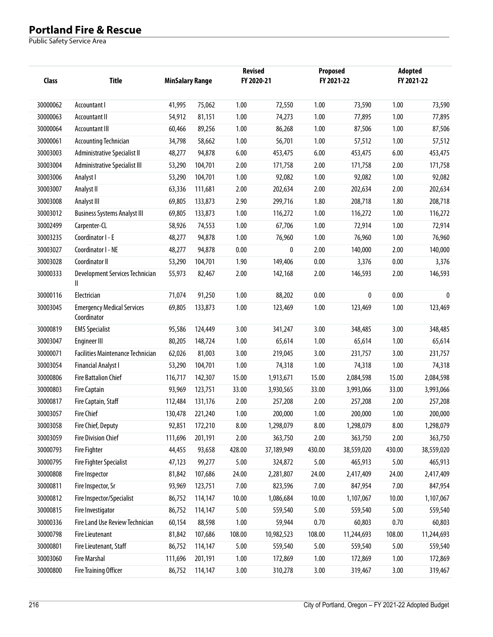| Class    | <b>Title</b>                                     | <b>MinSalary Range</b> |         | <b>Revised</b> | FY 2020-21 |        | Proposed<br>FY 2021-22 |        | <b>Adopted</b><br>FY 2021-22 |  |
|----------|--------------------------------------------------|------------------------|---------|----------------|------------|--------|------------------------|--------|------------------------------|--|
| 30000062 | Accountant I                                     | 41,995                 | 75,062  | 1.00           | 72,550     | 1.00   | 73,590                 | 1.00   | 73,590                       |  |
| 30000063 | <b>Accountant II</b>                             | 54,912                 | 81,151  | 1.00           | 74,273     | 1.00   | 77,895                 | 1.00   | 77,895                       |  |
| 30000064 | Accountant III                                   | 60,466                 | 89,256  | 1.00           | 86,268     | 1.00   | 87,506                 | 1.00   | 87,506                       |  |
| 30000061 | <b>Accounting Technician</b>                     | 34,798                 | 58,662  | 1.00           | 56,701     | 1.00   | 57,512                 | 1.00   | 57,512                       |  |
| 30003003 | Administrative Specialist II                     | 48,277                 | 94,878  | 6.00           | 453,475    | 6.00   | 453,475                | 6.00   | 453,475                      |  |
| 30003004 | <b>Administrative Specialist III</b>             | 53,290                 | 104,701 | 2.00           | 171,758    | 2.00   | 171,758                | 2.00   | 171,758                      |  |
| 30003006 | Analyst I                                        | 53,290                 | 104,701 | 1.00           | 92,082     | 1.00   | 92,082                 | 1.00   | 92,082                       |  |
| 30003007 | Analyst II                                       | 63,336                 | 111,681 | 2.00           | 202,634    | 2.00   | 202,634                | 2.00   | 202,634                      |  |
| 30003008 | Analyst III                                      | 69,805                 | 133,873 | 2.90           | 299,716    | 1.80   | 208,718                | 1.80   | 208,718                      |  |
| 30003012 | <b>Business Systems Analyst III</b>              | 69,805                 | 133,873 | 1.00           | 116,272    | 1.00   | 116,272                | 1.00   | 116,272                      |  |
| 30002499 | Carpenter-CL                                     | 58,926                 | 74,553  | 1.00           | 67,706     | 1.00   | 72,914                 | 1.00   | 72,914                       |  |
| 30003235 | Coordinator I - E                                | 48,277                 | 94,878  | 1.00           | 76,960     | 1.00   | 76,960                 | 1.00   | 76,960                       |  |
| 30003027 | Coordinator I - NE                               | 48,277                 | 94,878  | 0.00           | 0          | 2.00   | 140,000                | 2.00   | 140,000                      |  |
| 30003028 | Coordinator II                                   | 53,290                 | 104,701 | 1.90           | 149,406    | 0.00   | 3,376                  | 0.00   | 3,376                        |  |
| 30000333 | Development Services Technician<br>Ш             | 55,973                 | 82,467  | 2.00           | 142,168    | 2.00   | 146,593                | 2.00   | 146,593                      |  |
| 30000116 | Electrician                                      | 71,074                 | 91,250  | 1.00           | 88,202     | 0.00   | 0                      | 0.00   | $\mathbf{0}$                 |  |
| 30003045 | <b>Emergency Medical Services</b><br>Coordinator | 69,805                 | 133,873 | 1.00           | 123,469    | 1.00   | 123,469                | 1.00   | 123,469                      |  |
| 30000819 | <b>EMS Specialist</b>                            | 95,586                 | 124,449 | 3.00           | 341,247    | 3.00   | 348,485                | 3.00   | 348,485                      |  |
| 30003047 | <b>Engineer III</b>                              | 80,205                 | 148,724 | 1.00           | 65,614     | 1.00   | 65,614                 | 1.00   | 65,614                       |  |
| 30000071 | <b>Facilities Maintenance Technician</b>         | 62,026                 | 81,003  | 3.00           | 219,045    | 3.00   | 231,757                | 3.00   | 231,757                      |  |
| 30003054 | <b>Financial Analyst I</b>                       | 53,290                 | 104,701 | 1.00           | 74,318     | 1.00   | 74,318                 | 1.00   | 74,318                       |  |
| 30000806 | <b>Fire Battalion Chief</b>                      | 116,717                | 142,307 | 15.00          | 1,913,671  | 15.00  | 2,084,598              | 15.00  | 2,084,598                    |  |
| 30000803 | <b>Fire Captain</b>                              | 93,969                 | 123,751 | 33.00          | 3,930,565  | 33.00  | 3,993,066              | 33.00  | 3,993,066                    |  |
| 30000817 | Fire Captain, Staff                              | 112,484                | 131,176 | 2.00           | 257,208    | 2.00   | 257,208                | 2.00   | 257,208                      |  |
| 30003057 | <b>Fire Chief</b>                                | 130,478                | 221,240 | 1.00           | 200,000    | 1.00   | 200,000                | 1.00   | 200,000                      |  |
| 30003058 | Fire Chief, Deputy                               | 92,851                 | 172,210 | 8.00           | 1,298,079  | 8.00   | 1,298,079              | 8.00   | 1,298,079                    |  |
| 30003059 | <b>Fire Division Chief</b>                       | 111,696                | 201,191 | 2.00           | 363,750    | 2.00   | 363,750                | 2.00   | 363,750                      |  |
| 30000793 | <b>Fire Fighter</b>                              | 44,455                 | 93,658  | 428.00         | 37,189,949 | 430.00 | 38,559,020             | 430.00 | 38,559,020                   |  |
| 30000795 | <b>Fire Fighter Specialist</b>                   | 47,123                 | 99,277  | 5.00           | 324,872    | 5.00   | 465,913                | 5.00   | 465,913                      |  |
| 30000808 | <b>Fire Inspector</b>                            | 81,842                 | 107,686 | 24.00          | 2,281,807  | 24.00  | 2,417,409              | 24.00  | 2,417,409                    |  |
| 30000811 | Fire Inspector, Sr                               | 93,969                 | 123,751 | 7.00           | 823,596    | 7.00   | 847,954                | 7.00   | 847,954                      |  |
| 30000812 | Fire Inspector/Specialist                        | 86,752                 | 114,147 | 10.00          | 1,086,684  | 10.00  | 1,107,067              | 10.00  | 1,107,067                    |  |
| 30000815 | Fire Investigator                                | 86,752                 | 114,147 | 5.00           | 559,540    | 5.00   | 559,540                | 5.00   | 559,540                      |  |
| 30000336 | Fire Land Use Review Technician                  | 60,154                 | 88,598  | 1.00           | 59,944     | 0.70   | 60,803                 | 0.70   | 60,803                       |  |
| 30000798 | <b>Fire Lieutenant</b>                           | 81,842                 | 107,686 | 108.00         | 10,982,523 | 108.00 | 11,244,693             | 108.00 | 11,244,693                   |  |
| 30000801 | Fire Lieutenant, Staff                           | 86,752                 | 114,147 | 5.00           | 559,540    | 5.00   | 559,540                | 5.00   | 559,540                      |  |
| 30003060 | <b>Fire Marshal</b>                              | 111,696                | 201,191 | 1.00           | 172,869    | 1.00   | 172,869                | 1.00   | 172,869                      |  |
| 30000800 | <b>Fire Training Officer</b>                     | 86,752                 | 114,147 | 3.00           | 310,278    | 3.00   | 319,467                | 3.00   | 319,467                      |  |